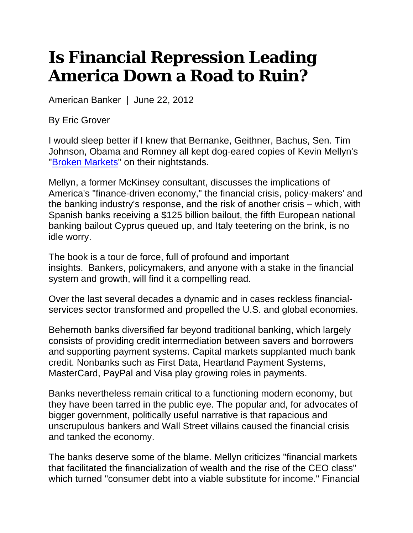## **Is Financial Repression Leading America Down a Road to Ruin?**

American Banker | June 22, 2012

By Eric Grover

I would sleep better if I knew that Bernanke, Geithner, Bachus, Sen. Tim Johnson, Obama and Romney all kept dog-eared copies of Kevin Mellyn's "Broken Markets" on their nightstands.

Mellyn, a former McKinsey consultant, discusses the implications of America's "finance-driven economy," the financial crisis, policy-makers' and the banking industry's response, and the risk of another crisis – which, with Spanish banks receiving a \$125 billion bailout, the fifth European national banking bailout Cyprus queued up, and Italy teetering on the brink, is no idle worry.

The book is a tour de force, full of profound and important insights. Bankers, policymakers, and anyone with a stake in the financial system and growth, will find it a compelling read.

Over the last several decades a dynamic and in cases reckless financialservices sector transformed and propelled the U.S. and global economies.

Behemoth banks diversified far beyond traditional banking, which largely consists of providing credit intermediation between savers and borrowers and supporting payment systems. Capital markets supplanted much bank credit. Nonbanks such as First Data, Heartland Payment Systems, MasterCard, PayPal and Visa play growing roles in payments.

Banks nevertheless remain critical to a functioning modern economy, but they have been tarred in the public eye. The popular and, for advocates of bigger government, politically useful narrative is that rapacious and unscrupulous bankers and Wall Street villains caused the financial crisis and tanked the economy.

The banks deserve some of the blame. Mellyn criticizes "financial markets that facilitated the financialization of wealth and the rise of the CEO class" which turned "consumer debt into a viable substitute for income." Financial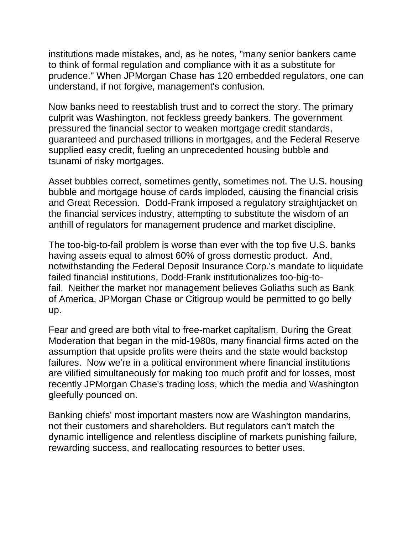institutions made mistakes, and, as he notes, "many senior bankers came to think of formal regulation and compliance with it as a substitute for prudence." When JPMorgan Chase has 120 embedded regulators, one can understand, if not forgive, management's confusion.

Now banks need to reestablish trust and to correct the story. The primary culprit was Washington, not feckless greedy bankers. The government pressured the financial sector to weaken mortgage credit standards, guaranteed and purchased trillions in mortgages, and the Federal Reserve supplied easy credit, fueling an unprecedented housing bubble and tsunami of risky mortgages.

Asset bubbles correct, sometimes gently, sometimes not. The U.S. housing bubble and mortgage house of cards imploded, causing the financial crisis and Great Recession. Dodd-Frank imposed a regulatory straightjacket on the financial services industry, attempting to substitute the wisdom of an anthill of regulators for management prudence and market discipline.

The too-big-to-fail problem is worse than ever with the top five U.S. banks having assets equal to almost 60% of gross domestic product. And, notwithstanding the Federal Deposit Insurance Corp.'s mandate to liquidate failed financial institutions, Dodd-Frank institutionalizes too-big-tofail. Neither the market nor management believes Goliaths such as Bank of America, JPMorgan Chase or Citigroup would be permitted to go belly up.

Fear and greed are both vital to free-market capitalism. During the Great Moderation that began in the mid-1980s, many financial firms acted on the assumption that upside profits were theirs and the state would backstop failures. Now we're in a political environment where financial institutions are vilified simultaneously for making too much profit and for losses, most recently JPMorgan Chase's trading loss, which the media and Washington gleefully pounced on.

Banking chiefs' most important masters now are Washington mandarins, not their customers and shareholders. But regulators can't match the dynamic intelligence and relentless discipline of markets punishing failure, rewarding success, and reallocating resources to better uses.